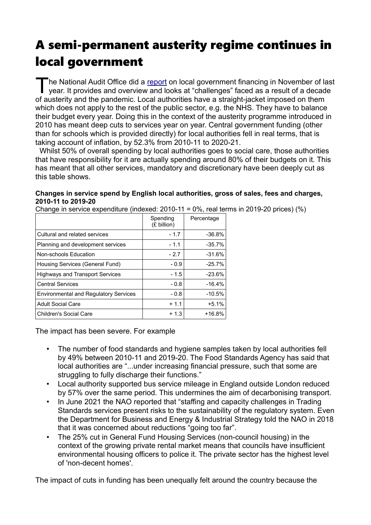# A semi-permanent austerity regime continues in local government

The National Audit Office did a [report](https://www.nao.org.uk/report/the-local-government-finance-system-in-england-overview-and-challenges/) on local government financing in November of last<br>year. It provides and overview and looks at "challenges" faced as a result of a decade year. It provides and overview and looks at "challenges" faced as a result of a decade of austerity and the pandemic. Local authorities have a straight-jacket imposed on them which does not apply to the rest of the public sector, e.g. the NHS. They have to balance their budget every year. Doing this in the context of the austerity programme introduced in 2010 has meant deep cuts to services year on year. Central government funding (other than for schools which is provided directly) for local authorities fell in real terms, that is taking account of inflation, by 52.3% from 2010-11 to 2020-21.

 Whilst 50% of overall spending by local authorities goes to social care, those authorities that have responsibility for it are actually spending around 80% of their budgets on it. This has meant that all other services, mandatory and discretionary have been deeply cut as this table shows.

#### **Changes in service spend by English local authorities, gross of sales, fees and charges, 2010-11 to 2019-20** Change in service expenditure (indexed: 2010-11 = 0%, real terms in 2019-20 prices) (%)

| CHANG IN SERVICE EXPENDIUME (INGEXED, ZU IV-TT – 070, TEANGHIIS IN ZUT9-ZU DIJCES). |  |                       |  |
|-------------------------------------------------------------------------------------|--|-----------------------|--|
|                                                                                     |  | Spending   Percentage |  |

|                                              | Spending<br>(£ billion) | Percentage |
|----------------------------------------------|-------------------------|------------|
| Cultural and related services                | $-1.7$                  | $-36.8%$   |
| Planning and development services            | $-1.1$                  | $-35.7%$   |
| Non-schools Education                        | $-2.7$                  | $-31.6%$   |
| Housing Services (General Fund)              | $-0.9$                  | $-25.7%$   |
| <b>Highways and Transport Services</b>       | - 1.5                   | $-23.6%$   |
| <b>Central Services</b>                      | $-0.8$                  | $-16.4%$   |
| <b>Environmental and Regulatory Services</b> | $-0.8$                  | $-10.5%$   |
| <b>Adult Social Care</b>                     | $+1.1$                  | $+5.1%$    |
| <b>Children's Social Care</b>                | $+1.3$                  | $+16.8%$   |

The impact has been severe. For example

- The number of food standards and hygiene samples taken by local authorities fell by 49% between 2010-11 and 2019-20. The Food Standards Agency has said that local authorities are "...under increasing financial pressure, such that some are struggling to fully discharge their functions."
- Local authority supported bus service mileage in England outside London reduced by 57% over the same period. This undermines the aim of decarbonising transport.
- In June 2021 the NAO reported that "staffing and capacity challenges in Trading Standards services present risks to the sustainability of the regulatory system. Even the Department for Business and Energy & Industrial Strategy told the NAO in 2018 that it was concerned about reductions "going too far".
- The 25% cut in General Fund Housing Services (non-council housing) in the context of the growing private rental market means that councils have insufficient environmental housing officers to police it. The private sector has the highest level of 'non-decent homes'.

The impact of cuts in funding has been unequally felt around the country because the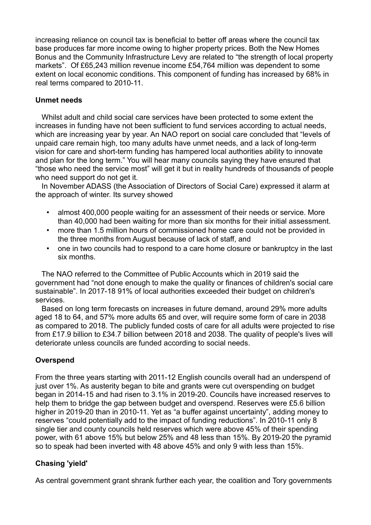increasing reliance on council tax is beneficial to better off areas where the council tax base produces far more income owing to higher property prices. Both the New Homes Bonus and the Community Infrastructure Levy are related to "the strength of local property markets". Of £65,243 million revenue income £54,764 million was dependent to some extent on local economic conditions. This component of funding has increased by 68% in real terms compared to 2010-11.

#### **Unmet needs**

 Whilst adult and child social care services have been protected to some extent the increases in funding have not been sufficient to fund services according to actual needs, which are increasing year by year. An NAO report on social care concluded that "levels of unpaid care remain high, too many adults have unmet needs, and a lack of long-term vision for care and short-term funding has hampered local authorities ability to innovate and plan for the long term." You will hear many councils saying they have ensured that "those who need the service most" will get it but in reality hundreds of thousands of people who need support do not get it.

 In November ADASS (the Association of Directors of Social Care) expressed it alarm at the approach of winter. Its survey showed

- almost 400,000 people waiting for an assessment of their needs or service. More than 40,000 had been waiting for more than six months for their initial assessment.
- more than 1.5 million hours of commissioned home care could not be provided in the three months from August because of lack of staff, and
- one in two councils had to respond to a care home closure or bankruptcy in the last six months.

 The NAO referred to the Committee of Public Accounts which in 2019 said the government had "not done enough to make the quality or finances of children's social care sustainable". In 2017-18 91% of local authorities exceeded their budget on children's services.

 Based on long term forecasts on increases in future demand, around 29% more adults aged 18 to 64, and 57% more adults 65 and over, will require some form of care in 2038 as compared to 2018. The publicly funded costs of care for all adults were projected to rise from £17.9 billion to £34.7 billion between 2018 and 2038. The quality of people's lives will deteriorate unless councils are funded according to social needs.

## **Overspend**

From the three years starting with 2011-12 English councils overall had an underspend of just over 1%. As austerity began to bite and grants were cut overspending on budget began in 2014-15 and had risen to 3.1% in 2019-20. Councils have increased reserves to help them to bridge the gap between budget and overspend. Reserves were £5.6 billion higher in 2019-20 than in 2010-11. Yet as "a buffer against uncertainty", adding money to reserves "could potentially add to the impact of funding reductions". In 2010-11 only 8 single tier and county councils held reserves which were above 45% of their spending power, with 61 above 15% but below 25% and 48 less than 15%. By 2019-20 the pyramid so to speak had been inverted with 48 above 45% and only 9 with less than 15%.

## **Chasing 'yield'**

As central government grant shrank further each year, the coalition and Tory governments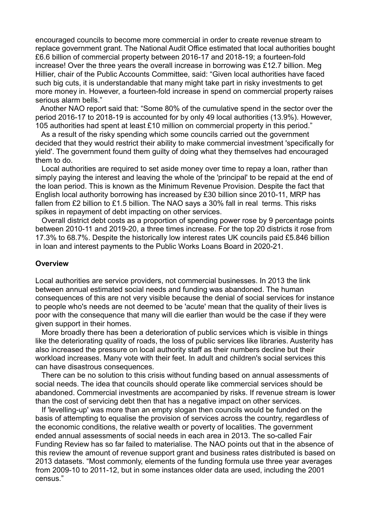encouraged councils to become more commercial in order to create revenue stream to replace government grant. The National Audit Office estimated that local authorities bought £6.6 billion of commercial property between 2016-17 and 2018-19; a fourteen-fold increase! Over the three years the overall increase in borrowing was £12.7 billion. Meg Hillier, chair of the Public Accounts Committee, said: "Given local authorities have faced such big cuts, it is understandable that many might take part in risky investments to get more money in. However, a fourteen-fold increase in spend on commercial property raises serious alarm bells."

 Another NAO report said that: "Some 80% of the cumulative spend in the sector over the period 2016-17 to 2018-19 is accounted for by only 49 local authorities (13.9%). However, 105 authorities had spent at least £10 million on commercial property in this period."

 As a result of the risky spending which some councils carried out the government decided that they would restrict their ability to make commercial investment 'specifically for yield'. The government found them guilty of doing what they themselves had encouraged them to do.

 Local authorities are required to set aside money over time to repay a loan, rather than simply paying the interest and leaving the whole of the 'principal' to be repaid at the end of the loan period. This is known as the Minimum Revenue Provision. Despite the fact that English local authority borrowing has increased by £30 billion since 2010-11, MRP has fallen from £2 billion to £1.5 billion. The NAO says a 30% fall in real terms. This risks spikes in repayment of debt impacting on other services.

 Overall district debt costs as a proportion of spending power rose by 9 percentage points between 2010-11 and 2019-20, a three times increase. For the top 20 districts it rose from 17.3% to 68.7%. Despite the historically low interest rates UK councils paid £5.846 billion in loan and interest payments to the Public Works Loans Board in 2020-21.

#### **Overview**

Local authorities are service providers, not commercial businesses. In 2013 the link between annual estimated social needs and funding was abandoned. The human consequences of this are not very visible because the denial of social services for instance to people who's needs are not deemed to be 'acute' mean that the quality of their lives is poor with the consequence that many will die earlier than would be the case if they were given support in their homes.

 More broadly there has been a deterioration of public services which is visible in things like the deteriorating quality of roads, the loss of public services like libraries. Austerity has also increased the pressure on local authority staff as their numbers decline but their workload increases. Many vote with their feet. In adult and children's social services this can have disastrous consequences.

 There can be no solution to this crisis without funding based on annual assessments of social needs. The idea that councils should operate like commercial services should be abandoned. Commercial investments are accompanied by risks. If revenue stream is lower than the cost of servicing debt then that has a negative impact on other services.

 If 'levelling-up' was more than an empty slogan then councils would be funded on the basis of attempting to equalise the provision of services across the country, regardless of the economic conditions, the relative wealth or poverty of localities. The government ended annual assessments of social needs in each area in 2013. The so-called Fair Funding Review has so far failed to materialise. The NAO points out that in the absence of this review the amount of revenue support grant and business rates distributed is based on 2013 datasets. "Most commonly, elements of the funding formula use three year averages from 2009-10 to 2011-12, but in some instances older data are used, including the 2001 census."